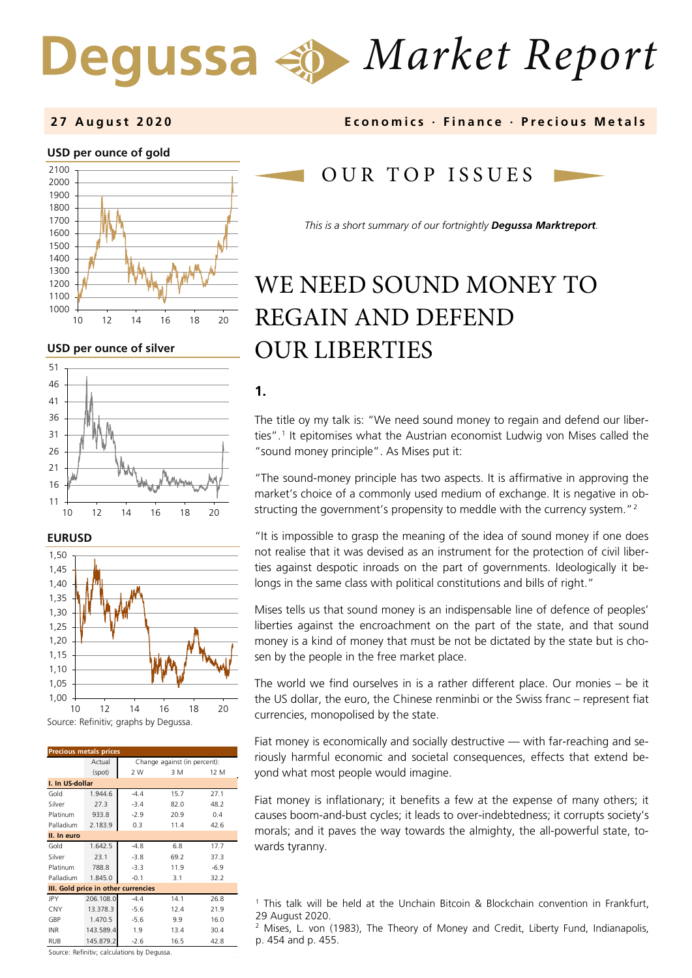# *Market Report* Degussa  $\Leftrightarrow$

### **USD per ounce of gold**



**USD per ounce of silver** 







| <b>Precious metals prices</b>       |           |                              |      |        |  |  |
|-------------------------------------|-----------|------------------------------|------|--------|--|--|
|                                     | Actual    | Change against (in percent): |      |        |  |  |
|                                     | (spot)    | 2 W                          | 3 M  | 12 M   |  |  |
| I. In US-dollar                     |           |                              |      |        |  |  |
| Gold                                | 1.944.6   | $-4.4$                       | 15.7 | 27.1   |  |  |
| Silver                              | 27.3      | $-3.4$                       | 82.0 | 48.2   |  |  |
| Platinum                            | 933.8     | $-2.9$                       | 20.9 | 0.4    |  |  |
| Palladium                           | 2.183.9   | 0.3                          | 11.4 | 42.6   |  |  |
| II. In euro                         |           |                              |      |        |  |  |
| Gold                                | 1.642.5   | $-4.8$                       | 6.8  | 17.7   |  |  |
| Silver                              | 23.1      | $-3.8$                       | 69.2 | 37.3   |  |  |
| Platinum                            | 788.8     | $-3.3$                       | 11.9 | $-6.9$ |  |  |
| Palladium                           | 1.845.0   | $-0.1$                       | 3.1  | 32.2   |  |  |
| III. Gold price in other currencies |           |                              |      |        |  |  |
| JPY                                 | 206.108.0 | $-4.4$                       | 14.1 | 26.8   |  |  |
| CNY                                 | 13.378.3  | $-5.6$                       | 12.4 | 21.9   |  |  |
| GBP                                 | 1.470.5   | $-5.6$                       | 9.9  | 16.0   |  |  |
| <b>INR</b>                          | 143.589.4 | 1.9                          | 13.4 | 30.4   |  |  |
| RUB                                 | 145.879.2 | $-2.6$                       | 16.5 | 42.8   |  |  |

<span id="page-0-1"></span><span id="page-0-0"></span>Source: Refinitiv; calculations by Degussa.

### **2 7 August 2020 Economics · Finance · Precious M etals**

## O U R TOP ISSUE S

*This is a short summary of our fortnightly Degussa Marktreport.* 

# WE NEED SOUND MONEY TO REGAIN AND DEFEND OUR LIBERTIES

### **1.**

The title oy my talk is: "We need sound money to regain and defend our liberties".[1](#page-0-0) It epitomises what the Austrian economist Ludwig von Mises called the "sound money principle". As Mises put it:

"The sound-money principle has two aspects. It is affirmative in approving the market's choice of a commonly used medium of exchange. It is negative in ob-structing the government's propensity to meddle with the currency system."<sup>[2](#page-0-1)</sup>

"It is impossible to grasp the meaning of the idea of sound money if one does not realise that it was devised as an instrument for the protection of civil liberties against despotic inroads on the part of governments. Ideologically it belongs in the same class with political constitutions and bills of right."

Mises tells us that sound money is an indispensable line of defence of peoples' liberties against the encroachment on the part of the state, and that sound money is a kind of money that must be not be dictated by the state but is chosen by the people in the free market place.

The world we find ourselves in is a rather different place. Our monies – be it the US dollar, the euro, the Chinese renminbi or the Swiss franc – represent fiat currencies, monopolised by the state.

Fiat money is economically and socially destructive — with far-reaching and seriously harmful economic and societal consequences, effects that extend beyond what most people would imagine.

Fiat money is inflationary; it benefits a few at the expense of many others; it causes boom-and-bust cycles; it leads to over-indebtedness; it corrupts society's morals; and it paves the way towards the almighty, the all-powerful state, towards tyranny.

<sup>1</sup> This talk will be held at the Unchain Bitcoin & Blockchain convention in Frankfurt, 29 August 2020.

<sup>&</sup>lt;sup>2</sup> Mises, L. von (1983), The Theory of Money and Credit, Liberty Fund, Indianapolis, p. 454 and p. 455.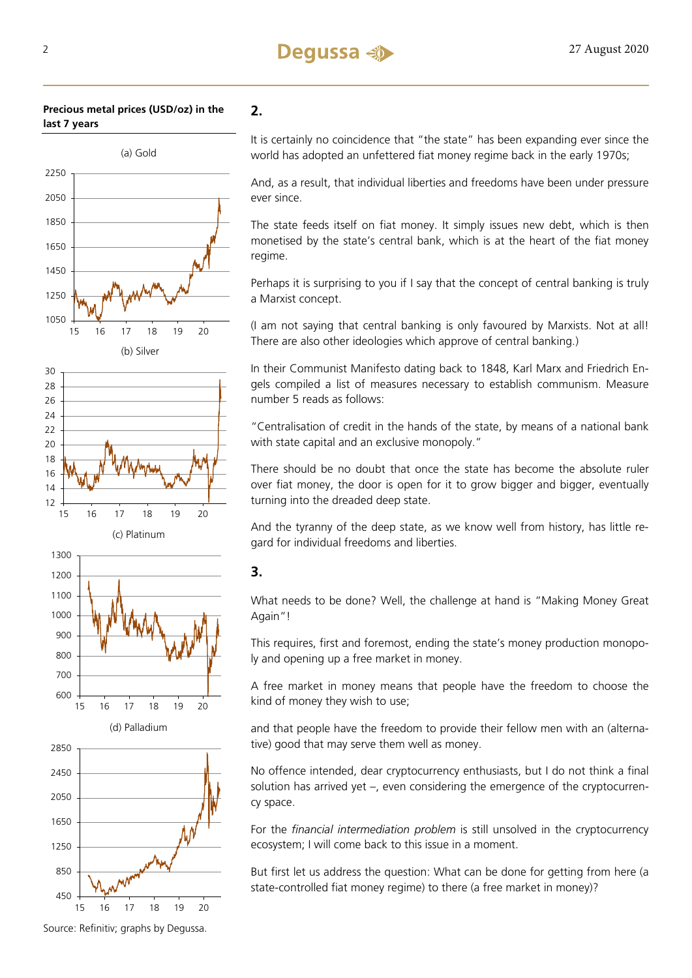### **Precious metal prices (USD/oz) in the last 7 years**



**2.** 

It is certainly no coincidence that "the state" has been expanding ever since the world has adopted an unfettered fiat money regime back in the early 1970s;

And, as a result, that individual liberties and freedoms have been under pressure ever since.

The state feeds itself on fiat money. It simply issues new debt, which is then monetised by the state's central bank, which is at the heart of the fiat money regime.

Perhaps it is surprising to you if I say that the concept of central banking is truly a Marxist concept.

(I am not saying that central banking is only favoured by Marxists. Not at all! There are also other ideologies which approve of central banking.)

In their Communist Manifesto dating back to 1848, Karl Marx and Friedrich Engels compiled a list of measures necessary to establish communism. Measure number 5 reads as follows:

"Centralisation of credit in the hands of the state, by means of a national bank with state capital and an exclusive monopoly."

There should be no doubt that once the state has become the absolute ruler over fiat money, the door is open for it to grow bigger and bigger, eventually turning into the dreaded deep state.

And the tyranny of the deep state, as we know well from history, has little regard for individual freedoms and liberties.

### **3.**

What needs to be done? Well, the challenge at hand is "Making Money Great Again"!

This requires, first and foremost, ending the state's money production monopoly and opening up a free market in money.

A free market in money means that people have the freedom to choose the kind of money they wish to use;

and that people have the freedom to provide their fellow men with an (alternative) good that may serve them well as money.

No offence intended, dear cryptocurrency enthusiasts, but I do not think a final solution has arrived yet –, even considering the emergence of the cryptocurrency space.

For the *financial intermediation problem* is still unsolved in the cryptocurrency ecosystem; I will come back to this issue in a moment.

But first let us address the question: What can be done for getting from here (a state-controlled fiat money regime) to there (a free market in money)?



15 16 17 18 19 20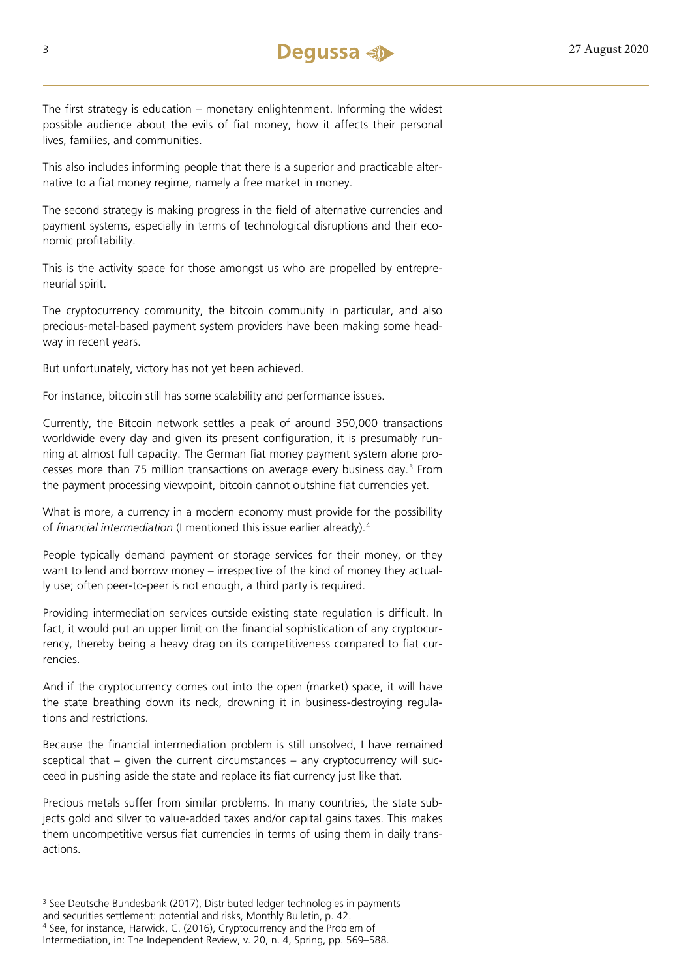The first strategy is education – monetary enlightenment. Informing the widest possible audience about the evils of fiat money, how it affects their personal lives, families, and communities.

This also includes informing people that there is a superior and practicable alternative to a fiat money regime, namely a free market in money.

The second strategy is making progress in the field of alternative currencies and payment systems, especially in terms of technological disruptions and their economic profitability.

This is the activity space for those amongst us who are propelled by entrepreneurial spirit.

The cryptocurrency community, the bitcoin community in particular, and also precious-metal-based payment system providers have been making some headway in recent years.

But unfortunately, victory has not yet been achieved.

For instance, bitcoin still has some scalability and performance issues.

Currently, the Bitcoin network settles a peak of around 350,000 transactions worldwide every day and given its present configuration, it is presumably running at almost full capacity. The German fiat money payment system alone processes more than 75 million transactions on average every business day.[3](#page-2-0) From the payment processing viewpoint, bitcoin cannot outshine fiat currencies yet.

What is more, a currency in a modern economy must provide for the possibility of *financial intermediation* (I mentioned this issue earlier already).[4](#page-2-1)

People typically demand payment or storage services for their money, or they want to lend and borrow money – irrespective of the kind of money they actually use; often peer-to-peer is not enough, a third party is required.

Providing intermediation services outside existing state regulation is difficult. In fact, it would put an upper limit on the financial sophistication of any cryptocurrency, thereby being a heavy drag on its competitiveness compared to fiat currencies.

And if the cryptocurrency comes out into the open (market) space, it will have the state breathing down its neck, drowning it in business-destroying regulations and restrictions.

Because the financial intermediation problem is still unsolved, I have remained sceptical that – given the current circumstances – any cryptocurrency will succeed in pushing aside the state and replace its fiat currency just like that.

Precious metals suffer from similar problems. In many countries, the state subjects gold and silver to value-added taxes and/or capital gains taxes. This makes them uncompetitive versus fiat currencies in terms of using them in daily transactions.

<span id="page-2-1"></span><span id="page-2-0"></span><sup>&</sup>lt;sup>3</sup> See Deutsche Bundesbank (2017), Distributed ledger technologies in payments and securities settlement: potential and risks, Monthly Bulletin, p. 42. <sup>4</sup> See, for instance, Harwick, C. (2016), Cryptocurrency and the Problem of Intermediation, in: The Independent Review, v. 20, n. 4, Spring, pp. 569–588.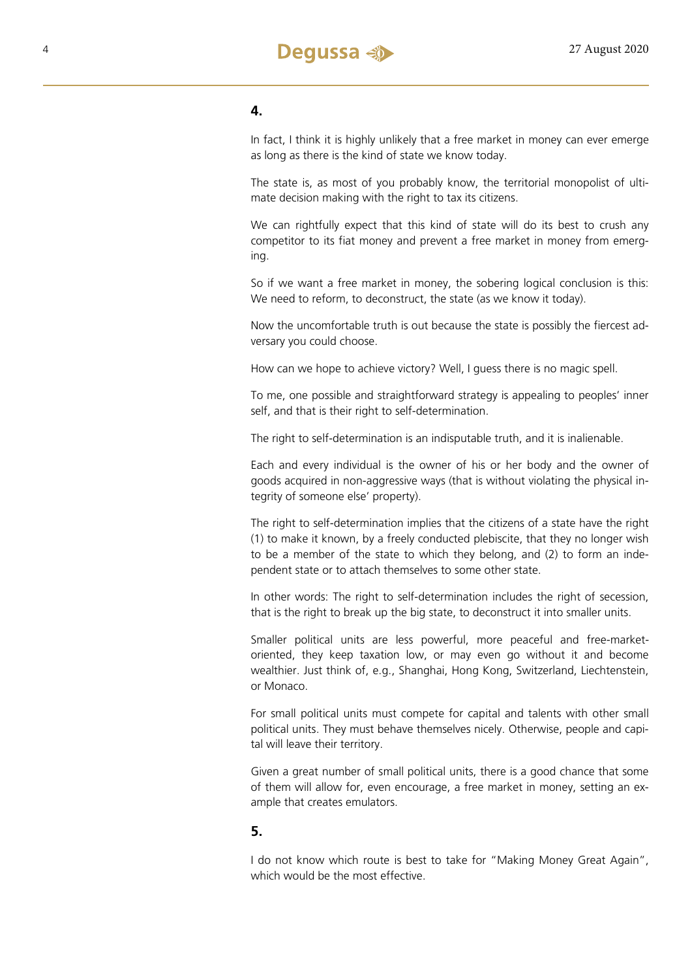

### **4.**

In fact, I think it is highly unlikely that a free market in money can ever emerge as long as there is the kind of state we know today.

The state is, as most of you probably know, the territorial monopolist of ultimate decision making with the right to tax its citizens.

We can rightfully expect that this kind of state will do its best to crush any competitor to its fiat money and prevent a free market in money from emerging.

So if we want a free market in money, the sobering logical conclusion is this: We need to reform, to deconstruct, the state (as we know it today).

Now the uncomfortable truth is out because the state is possibly the fiercest adversary you could choose.

How can we hope to achieve victory? Well, I guess there is no magic spell.

To me, one possible and straightforward strategy is appealing to peoples' inner self, and that is their right to self-determination.

The right to self-determination is an indisputable truth, and it is inalienable.

Each and every individual is the owner of his or her body and the owner of goods acquired in non-aggressive ways (that is without violating the physical integrity of someone else' property).

The right to self-determination implies that the citizens of a state have the right (1) to make it known, by a freely conducted plebiscite, that they no longer wish to be a member of the state to which they belong, and (2) to form an independent state or to attach themselves to some other state.

In other words: The right to self-determination includes the right of secession, that is the right to break up the big state, to deconstruct it into smaller units.

Smaller political units are less powerful, more peaceful and free-marketoriented, they keep taxation low, or may even go without it and become wealthier. Just think of, e.g., Shanghai, Hong Kong, Switzerland, Liechtenstein, or Monaco.

For small political units must compete for capital and talents with other small political units. They must behave themselves nicely. Otherwise, people and capital will leave their territory.

Given a great number of small political units, there is a good chance that some of them will allow for, even encourage, a free market in money, setting an example that creates emulators.

### **5.**

I do not know which route is best to take for "Making Money Great Again", which would be the most effective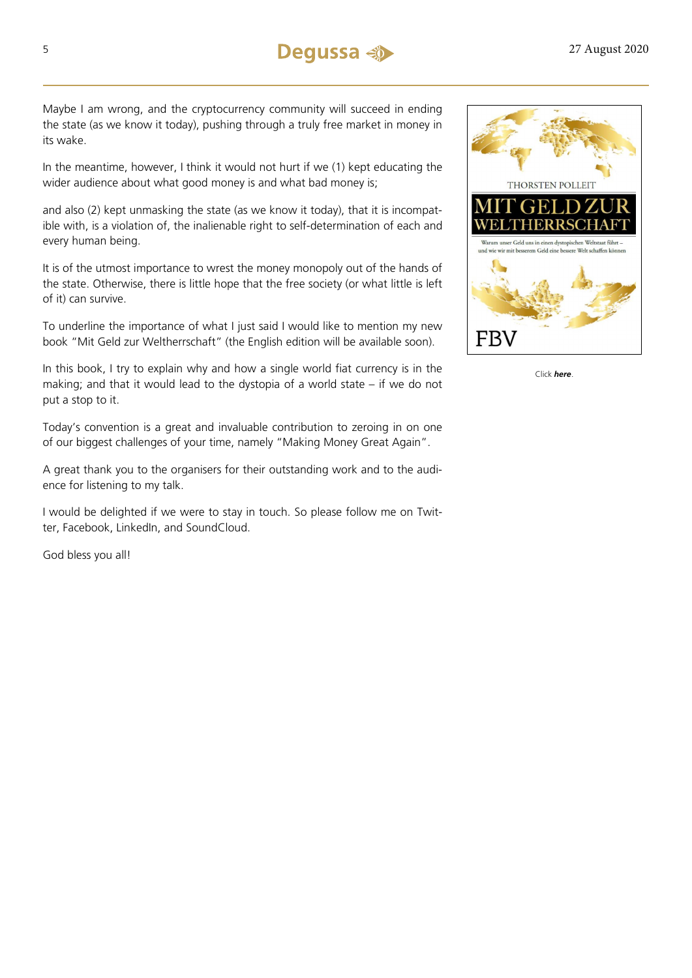

Maybe I am wrong, and the cryptocurrency community will succeed in ending the state (as we know it today), pushing through a truly free market in money in its wake.

In the meantime, however, I think it would not hurt if we (1) kept educating the wider audience about what good money is and what bad money is;

and also (2) kept unmasking the state (as we know it today), that it is incompatible with, is a violation of, the inalienable right to self-determination of each and every human being.

It is of the utmost importance to wrest the money monopoly out of the hands of the state. Otherwise, there is little hope that the free society (or what little is left of it) can survive.

To underline the importance of what I just said I would like to mention my new book "Mit Geld zur Weltherrschaft" (the English edition will be available soon).

In this book, I try to explain why and how a single world fiat currency is in the making; and that it would lead to the dystopia of a world state – if we do not put a stop to it.

Today's convention is a great and invaluable contribution to zeroing in on one of our biggest challenges of your time, namely "Making Money Great Again".

A great thank you to the organisers for their outstanding work and to the audience for listening to my talk.

I would be delighted if we were to stay in touch. So please follow me on Twitter, Facebook, LinkedIn, and SoundCloud.

God bless you all!



Click *[here](https://www.amazon.de/Mit-Geld-zur-Weltherrschaft-dystopischen/dp/3959723040)*.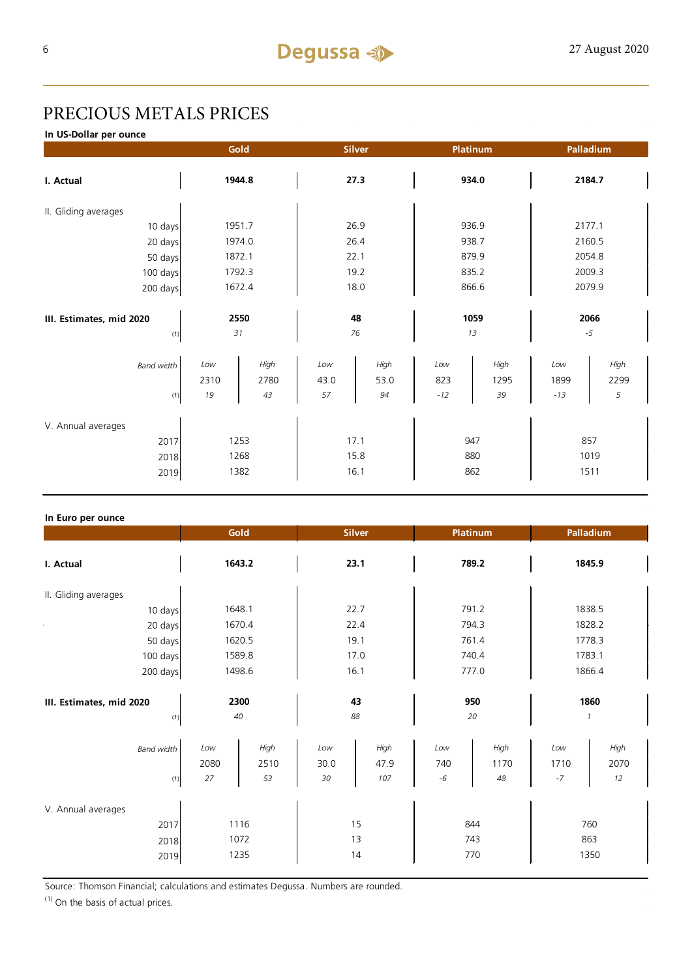## PRECIOUS METALS PRICES

**In US-Dollar per ounce**

|                          |             | Gold         |             | <b>Silver</b> |            | Platinum     |             | Palladium    |  |
|--------------------------|-------------|--------------|-------------|---------------|------------|--------------|-------------|--------------|--|
| I. Actual                | 1944.8      |              | 27.3        |               | 934.0      |              | 2184.7      |              |  |
| II. Gliding averages     |             |              |             |               |            |              |             |              |  |
| 10 days                  |             | 1951.7       | 26.9        |               | 936.9      |              | 2177.1      |              |  |
| 20 days                  |             | 1974.0       | 26.4        |               | 938.7      |              | 2160.5      |              |  |
| 50 days                  |             | 1872.1       | 22.1        |               | 879.9      |              | 2054.8      |              |  |
| 100 days                 |             | 1792.3       | 19.2        |               | 835.2      |              | 2009.3      |              |  |
| 200 days                 |             | 1672.4       |             | 18.0          |            | 866.6        |             | 2079.9       |  |
| III. Estimates, mid 2020 | 2550        |              | 48          |               | 1059       |              | 2066        |              |  |
| (1)                      | 31          |              | 76          |               | 13         |              | $-5$        |              |  |
| <b>Band width</b>        | Low<br>2310 | High<br>2780 | Low<br>43.0 | High<br>53.0  | Low<br>823 | High<br>1295 | Low<br>1899 | High<br>2299 |  |
| (1)                      | 19          | 43           | 57          | 94            | $-12$      | 39           | $-13$       | 5            |  |
| V. Annual averages       |             |              |             |               |            |              |             |              |  |
| 1253<br>2017             |             | 17.1         |             | 947           |            | 857          |             |              |  |
| 2018                     | 1268        |              | 15.8        |               | 880        |              | 1019        |              |  |
| 2019                     | 1382        |              | 16.1        |               | 862        |              | 1511        |              |  |

### **In Euro per ounce**

|                                            | Gold              |                      | <b>Silver</b>     |                     | Platinum           |                    | Palladium             |                    |
|--------------------------------------------|-------------------|----------------------|-------------------|---------------------|--------------------|--------------------|-----------------------|--------------------|
| I. Actual                                  | 1643.2            |                      | 23.1              |                     | 789.2              |                    | 1845.9                |                    |
| II. Gliding averages                       |                   |                      |                   |                     |                    |                    |                       |                    |
| 10 days                                    | 1648.1            |                      |                   | 22.7                | 791.2              |                    |                       | 1838.5             |
| 20 days                                    |                   | 1670.4               | 22.4              |                     | 794.3              |                    | 1828.2                |                    |
| 50 days                                    |                   | 1620.5               | 19.1              |                     | 761.4              |                    | 1778.3                |                    |
| 100 days                                   |                   | 1589.8               | 17.0              |                     | 740.4              |                    | 1783.1                |                    |
| 200 days                                   | 1498.6            |                      | 16.1              |                     | 777.0              |                    | 1866.4                |                    |
| III. Estimates, mid 2020<br>(1)            | 2300<br>40        |                      | 43<br>88          |                     | 950<br>20          |                    | 1860<br>$\mathcal{I}$ |                    |
| <b>Band width</b><br>(1)                   | Low<br>2080<br>27 | High<br>2510<br>53   | Low<br>30.0<br>30 | High<br>47.9<br>107 | Low<br>740<br>$-6$ | High<br>1170<br>48 | Low<br>1710<br>$-7$   | High<br>2070<br>12 |
| V. Annual averages<br>2017<br>2018<br>2019 |                   | 1116<br>1072<br>1235 |                   | 15<br>13<br>14      | 844<br>743<br>770  |                    | 863                   | 760<br>1350        |

Source: Thomson Financial; calculations and estimates Degussa. Numbers are rounded.

 $(1)$  On the basis of actual prices.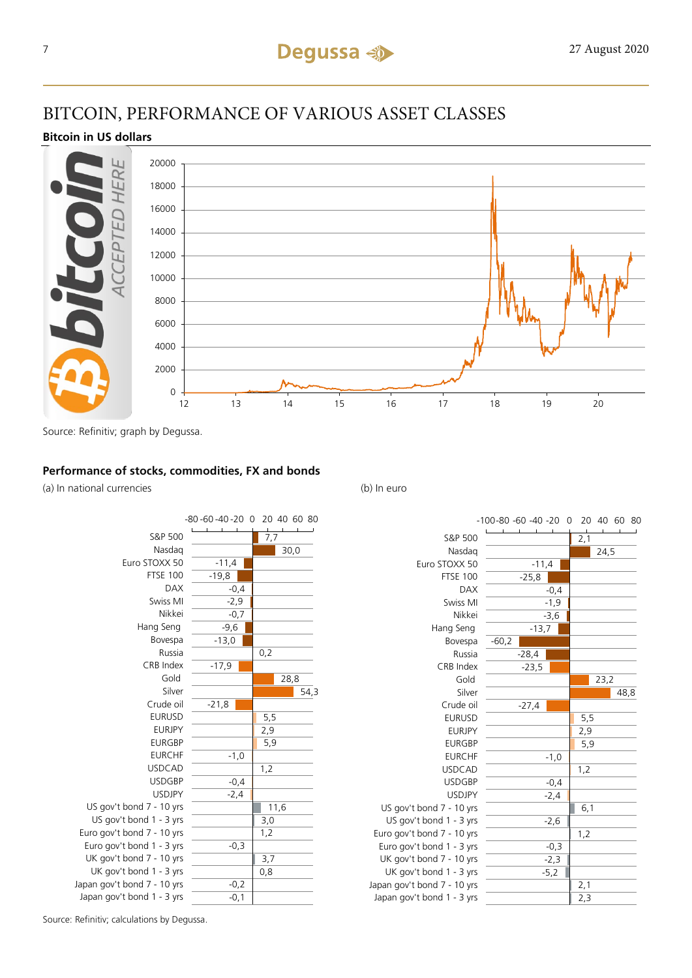## BITCOIN, PERFORMANCE OF VARIOUS ASSET CLASSES

### **Bitcoin in US dollars**



Source: Refinitiv; graph by Degussa.

### **Performance of stocks, commodities, FX and bonds**

(a) In national currencies (b) In euro





Source: Refinitiv; calculations by Degussa.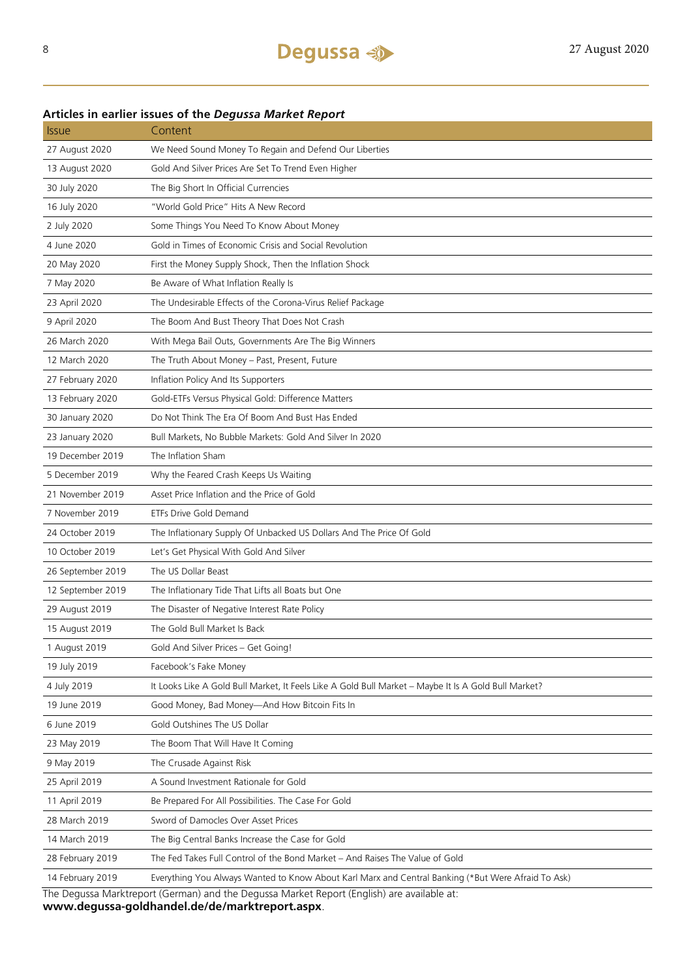| 27 August 2020    | We Need Sound Money To Regain and Defend Our Liberties                                               |
|-------------------|------------------------------------------------------------------------------------------------------|
| 13 August 2020    | Gold And Silver Prices Are Set To Trend Even Higher                                                  |
| 30 July 2020      | The Big Short In Official Currencies                                                                 |
| 16 July 2020      | "World Gold Price" Hits A New Record                                                                 |
| 2 July 2020       | Some Things You Need To Know About Money                                                             |
| 4 June 2020       | Gold in Times of Economic Crisis and Social Revolution                                               |
| 20 May 2020       | First the Money Supply Shock, Then the Inflation Shock                                               |
| 7 May 2020        | Be Aware of What Inflation Really Is                                                                 |
| 23 April 2020     | The Undesirable Effects of the Corona-Virus Relief Package                                           |
| 9 April 2020      | The Boom And Bust Theory That Does Not Crash                                                         |
| 26 March 2020     | With Mega Bail Outs, Governments Are The Big Winners                                                 |
| 12 March 2020     | The Truth About Money - Past, Present, Future                                                        |
| 27 February 2020  | Inflation Policy And Its Supporters                                                                  |
| 13 February 2020  | Gold-ETFs Versus Physical Gold: Difference Matters                                                   |
| 30 January 2020   | Do Not Think The Era Of Boom And Bust Has Ended                                                      |
| 23 January 2020   | Bull Markets, No Bubble Markets: Gold And Silver In 2020                                             |
| 19 December 2019  | The Inflation Sham                                                                                   |
| 5 December 2019   | Why the Feared Crash Keeps Us Waiting                                                                |
| 21 November 2019  | Asset Price Inflation and the Price of Gold                                                          |
| 7 November 2019   | ETFs Drive Gold Demand                                                                               |
| 24 October 2019   | The Inflationary Supply Of Unbacked US Dollars And The Price Of Gold                                 |
| 10 October 2019   | Let's Get Physical With Gold And Silver                                                              |
| 26 September 2019 | The US Dollar Beast                                                                                  |
| 12 September 2019 | The Inflationary Tide That Lifts all Boats but One                                                   |
| 29 August 2019    | The Disaster of Negative Interest Rate Policy                                                        |
| 15 August 2019    | The Gold Bull Market Is Back                                                                         |
| 1 August 2019     | Gold And Silver Prices - Get Going!                                                                  |
| 19 July 2019      | Facebook's Fake Money                                                                                |
| 4 July 2019       | It Looks Like A Gold Bull Market, It Feels Like A Gold Bull Market - Maybe It Is A Gold Bull Market? |
| 19 June 2019      | Good Money, Bad Money-And How Bitcoin Fits In                                                        |
| 6 June 2019       | Gold Outshines The US Dollar                                                                         |
| 23 May 2019       | The Boom That Will Have It Coming                                                                    |
| 9 May 2019        | The Crusade Against Risk                                                                             |
| 25 April 2019     | A Sound Investment Rationale for Gold                                                                |
| 11 April 2019     | Be Prepared For All Possibilities. The Case For Gold                                                 |
| 28 March 2019     | Sword of Damocles Over Asset Prices                                                                  |
| 14 March 2019     | The Big Central Banks Increase the Case for Gold                                                     |
| 28 February 2019  | The Fed Takes Full Control of the Bond Market - And Raises The Value of Gold                         |
| 14 February 2019  | Everything You Always Wanted to Know About Karl Marx and Central Banking (*But Were Afraid To Ask)   |

### **Articles in earlier issues of the** *Degussa Market Report* Issue Content

The Degussa Marktreport (German) and the Degussa Market Report (English) are available at:

**www.degussa-goldhandel.de/de/marktreport.aspx**.